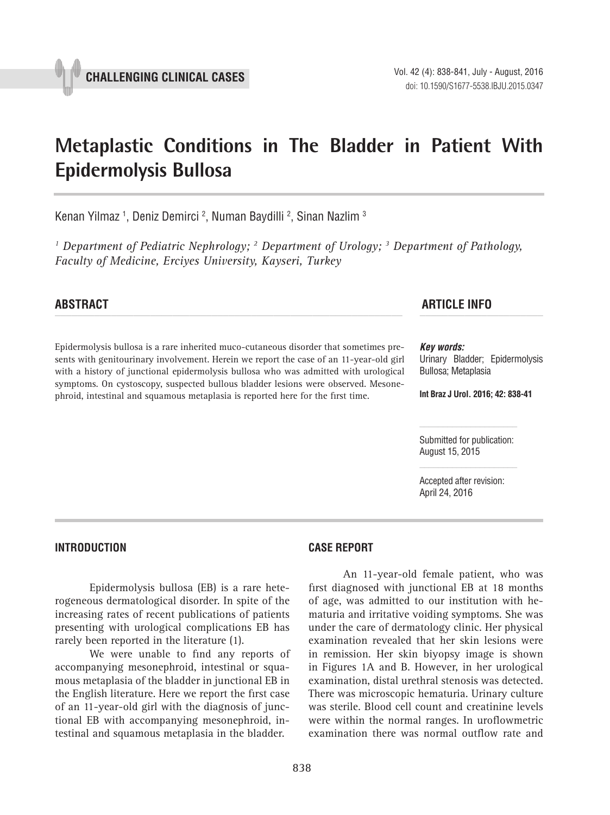# **Metaplastic Conditions in The Bladder in Patient With Epidermolysis Bullosa \_\_\_\_\_\_\_\_\_\_\_\_\_\_\_\_\_\_\_\_\_\_\_\_\_\_\_\_\_\_\_\_\_\_\_\_\_\_\_\_\_\_\_\_\_\_\_**

Kenan Yilmaz <sup>1</sup>, Deniz Demirci <sup>2</sup>, Numan Baydilli <sup>2</sup>, Sinan Nazlim <sup>3</sup>

<sup>1</sup> Department of Pediatric Nephrology; <sup>2</sup> Department of Urology; <sup>3</sup> Department of Pathology, *Faculty of Medicine, Erciyes University, Kayseri, Turkey*

Epidermolysis bullosa is a rare inherited muco-cutaneous disorder that sometimes presents with genitourinary involvement. Herein we report the case of an 11-year-old girl with a history of junctional epidermolysis bullosa who was admitted with urological symptoms. On cystoscopy, suspected bullous bladder lesions were observed. Mesonephroid, intestinal and squamous metaplasia is reported here for the first time.

# **ABSTRACT ARTICLE INFO** *\_\_\_\_\_\_\_\_\_\_\_\_\_\_\_\_\_\_\_\_\_\_\_\_\_\_\_\_\_\_\_\_\_\_\_\_\_\_\_\_\_\_\_\_\_\_\_\_\_\_\_\_\_\_\_\_\_\_\_\_\_\_ \_\_\_\_\_\_\_\_\_\_\_\_\_\_\_\_\_\_\_\_\_\_*

#### *Key words:*

Urinary Bladder; Epidermolysis Bullosa; Metaplasia

**Int Braz J Urol. 2016; 42: 838-41**

Submitted for publication: August 15, 2015

Accepted after revision: April 24, 2016

## **INTRODUCTION**

Epidermolysis bullosa (EB) is a rare heterogeneous dermatological disorder. In spite of the increasing rates of recent publications of patients presenting with urological complications EB has rarely been reported in the literature (1).

We were unable to find any reports of accompanying mesonephroid, intestinal or squamous metaplasia of the bladder in junctional EB in the English literature. Here we report the first case of an 11-year-old girl with the diagnosis of junctional EB with accompanying mesonephroid, intestinal and squamous metaplasia in the bladder.

## **Case report**

An 11-year-old female patient, who was first diagnosed with junctional EB at 18 months of age, was admitted to our institution with hematuria and irritative voiding symptoms. She was under the care of dermatology clinic. Her physical examination revealed that her skin lesions were in remission. Her skin biyopsy image is shown in Figures 1A and B. However, in her urological examination, distal urethral stenosis was detected. There was microscopic hematuria. Urinary culture was sterile. Blood cell count and creatinine levels were within the normal ranges. In uroflowmetric examination there was normal outflow rate and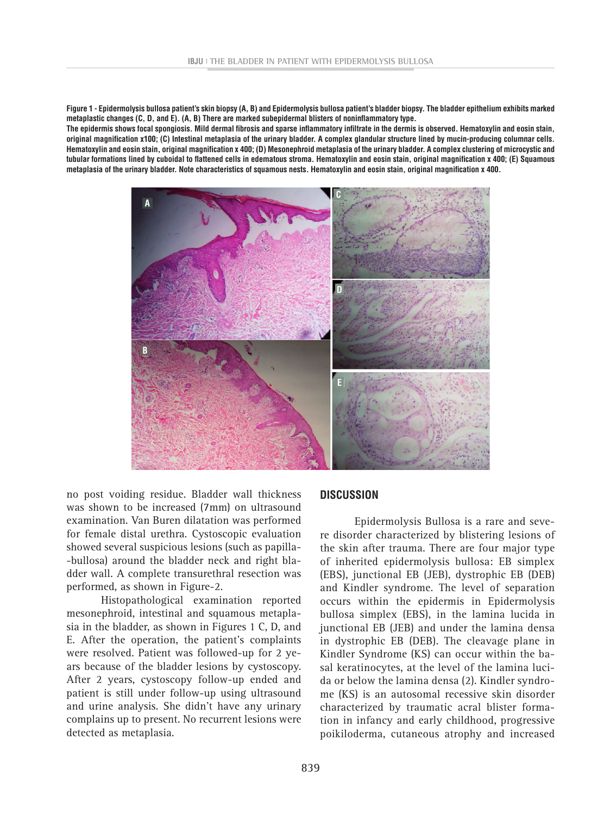**Figure 1 - Epidermolysis bullosa patient's skin biopsy (A, B) and Epidermolysis bullosa patient's bladder biopsy. The bladder epithelium exhibits marked metaplastic changes (C, D, and E). (A, B) There are marked subepidermal blisters of noninflammatory type.**

**The epidermis shows focal spongiosis. Mild dermal fibrosis and sparse inflammatory infiltrate in the dermis is observed. Hematoxylin and eosin stain, original magnification x100; (C) Intestinal metaplasia of the urinary bladder. A complex glandular structure lined by mucin-producing columnar cells. Hematoxylin and eosin stain, original magnification x 400; (D) Mesonephroid metaplasia of the urinary bladder. A complex clustering of microcystic and tubular formations lined by cuboidal to flattened cells in edematous stroma. Hematoxylin and eosin stain, original magnification x 400; (E) Squamous metaplasia of the urinary bladder. Note characteristics of squamous nests. Hematoxylin and eosin stain, original magnification x 400.**



no post voiding residue. Bladder wall thickness was shown to be increased (7mm) on ultrasound examination. Van Buren dilatation was performed for female distal urethra. Cystoscopic evaluation showed several suspicious lesions (such as papilla- -bullosa) around the bladder neck and right bladder wall. A complete transurethral resection was performed, as shown in Figure-2.

Histopathological examination reported mesonephroid, intestinal and squamous metaplasia in the bladder, as shown in Figures 1 C, D, and E. After the operation, the patient's complaints were resolved. Patient was followed-up for 2 years because of the bladder lesions by cystoscopy. After 2 years, cystoscopy follow-up ended and patient is still under follow-up using ultrasound and urine analysis. She didn't have any urinary complains up to present. No recurrent lesions were detected as metaplasia.

## **DISCUSSION**

Epidermolysis Bullosa is a rare and severe disorder characterized by blistering lesions of the skin after trauma. There are four major type of inherited epidermolysis bullosa: EB simplex (EBS), junctional EB (JEB), dystrophic EB (DEB) and Kindler syndrome. The level of separation occurs within the epidermis in Epidermolysis bullosa simplex (EBS), in the lamina lucida in junctional EB (JEB) and under the lamina densa in dystrophic EB (DEB). The cleavage plane in Kindler Syndrome (KS) can occur within the basal keratinocytes, at the level of the lamina lucida or below the lamina densa (2). Kindler syndrome (KS) is an autosomal recessive skin disorder characterized by traumatic acral blister formation in infancy and early childhood, progressive poikiloderma, cutaneous atrophy and increased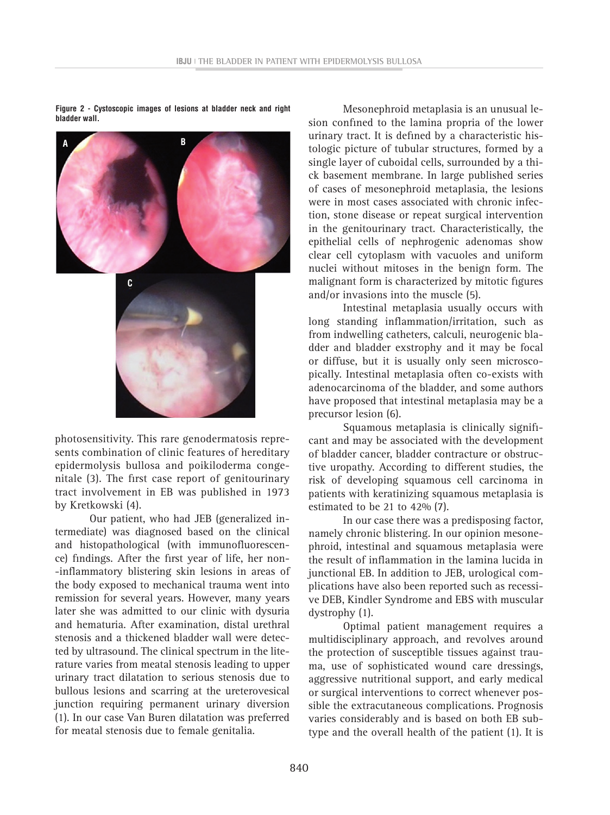**Figure 2 - Cystoscopic images of lesions at bladder neck and right bladder wall.**



photosensitivity. This rare genodermatosis represents combination of clinic features of hereditary epidermolysis bullosa and poikiloderma congenitale (3). The first case report of genitourinary tract involvement in EB was published in 1973 by Kretkowski (4).

Our patient, who had JEB (generalized intermediate) was diagnosed based on the clinical and histopathological (with immunofluorescence) findings. After the first year of life, her non- -inflammatory blistering skin lesions in areas of the body exposed to mechanical trauma went into remission for several years. However, many years later she was admitted to our clinic with dysuria and hematuria. After examination, distal urethral stenosis and a thickened bladder wall were detected by ultrasound. The clinical spectrum in the literature varies from meatal stenosis leading to upper urinary tract dilatation to serious stenosis due to bullous lesions and scarring at the ureterovesical junction requiring permanent urinary diversion (1). In our case Van Buren dilatation was preferred for meatal stenosis due to female genitalia.

Mesonephroid metaplasia is an unusual lesion confined to the lamina propria of the lower urinary tract. It is defined by a characteristic histologic picture of tubular structures, formed by a single layer of cuboidal cells, surrounded by a thick basement membrane. In large published series of cases of mesonephroid metaplasia, the lesions were in most cases associated with chronic infection, stone disease or repeat surgical intervention in the genitourinary tract. Characteristically, the epithelial cells of nephrogenic adenomas show clear cell cytoplasm with vacuoles and uniform nuclei without mitoses in the benign form. The malignant form is characterized by mitotic figures and/or invasions into the muscle (5).

Intestinal metaplasia usually occurs with long standing inflammation/irritation, such as from indwelling catheters, calculi, neurogenic bladder and bladder exstrophy and it may be focal or diffuse, but it is usually only seen microscopically. Intestinal metaplasia often co-exists with adenocarcinoma of the bladder, and some authors have proposed that intestinal metaplasia may be a precursor lesion (6).

Squamous metaplasia is clinically significant and may be associated with the development of bladder cancer, bladder contracture or obstructive uropathy. According to different studies, the risk of developing squamous cell carcinoma in patients with keratinizing squamous metaplasia is estimated to be 21 to 42% (7).

In our case there was a predisposing factor, namely chronic blistering. In our opinion mesonephroid, intestinal and squamous metaplasia were the result of inflammation in the lamina lucida in junctional EB. In addition to JEB, urological complications have also been reported such as recessive DEB, Kindler Syndrome and EBS with muscular dystrophy (1).

Optimal patient management requires a multidisciplinary approach, and revolves around the protection of susceptible tissues against trauma, use of sophisticated wound care dressings, aggressive nutritional support, and early medical or surgical interventions to correct whenever possible the extracutaneous complications. Prognosis varies considerably and is based on both EB subtype and the overall health of the patient (1). It is